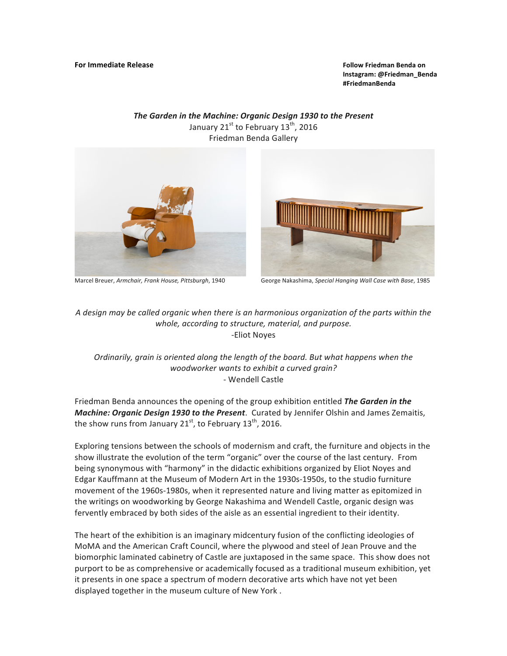**Instagram: @Friedman\_Benda #FriedmanBenda**

The Garden in the Machine: Organic Design 1930 to the Present January  $21^{st}$  to February  $13^{th}$ , 2016 Friedman Benda Gallery





Marcel Breuer, Armchair, Frank House, Pittsburgh, 1940 George Nakashima, Special Hanging Wall Case with Base, 1985

A design may be called organic when there is an harmonious organization of the parts within the whole, according to structure, material, and purpose. -Eliot Noyes

*Ordinarily, grain is oriented along the length of the board. But what happens when the woodworker wants to exhibit a curved grain?* - Wendell Castle

Friedman Benda announces the opening of the group exhibition entitled *The Garden in the Machine: Organic Design 1930 to the Present*. Curated by Jennifer Olshin and James Zemaitis, the show runs from January  $21^{st}$ , to February  $13^{th}$ , 2016.

Exploring tensions between the schools of modernism and craft, the furniture and objects in the show illustrate the evolution of the term "organic" over the course of the last century. From being synonymous with "harmony" in the didactic exhibitions organized by Eliot Noyes and Edgar Kauffmann at the Museum of Modern Art in the 1930s-1950s, to the studio furniture movement of the 1960s-1980s, when it represented nature and living matter as epitomized in the writings on woodworking by George Nakashima and Wendell Castle, organic design was fervently embraced by both sides of the aisle as an essential ingredient to their identity.

The heart of the exhibition is an imaginary midcentury fusion of the conflicting ideologies of MoMA and the American Craft Council, where the plywood and steel of Jean Prouve and the biomorphic laminated cabinetry of Castle are juxtaposed in the same space. This show does not purport to be as comprehensive or academically focused as a traditional museum exhibition, yet it presents in one space a spectrum of modern decorative arts which have not yet been displayed together in the museum culture of New York.